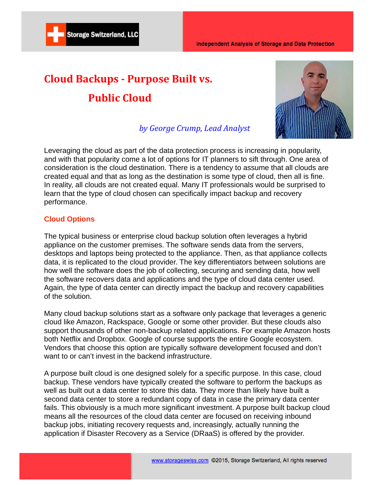# **Cloud Backups - Purpose Built vs. Public Cloud**

**Storage Switzerland, LLC** 



# *by George Crump, Lead Analyst*

Leveraging the cloud as part of the data protection process is increasing in popularity, and with that popularity come a lot of options for IT planners to sift through. One area of consideration is the cloud destination. There is a tendency to assume that all clouds are created equal and that as long as the destination is some type of cloud, then all is fine. In reality, all clouds are not created equal. Many IT professionals would be surprised to learn that the type of cloud chosen can specifically impact backup and recovery performance.

# **Cloud Options**

The typical business or enterprise cloud backup solution often leverages a hybrid appliance on the customer premises. The software sends data from the servers, desktops and laptops being protected to the appliance. Then, as that appliance collects data, it is replicated to the cloud provider. The key differentiators between solutions are how well the software does the job of collecting, securing and sending data, how well the software recovers data and applications and the type of cloud data center used. Again, the type of data center can directly impact the backup and recovery capabilities of the solution.

Many cloud backup solutions start as a software only package that leverages a generic cloud like Amazon, Rackspace, Google or some other provider. But these clouds also support thousands of other non-backup related applications. For example Amazon hosts both Netflix and Dropbox. Google of course supports the entire Google ecosystem. Vendors that choose this option are typically software development focused and don't want to or can't invest in the backend infrastructure.

A purpose built cloud is one designed solely for a specific purpose. In this case, cloud backup. These vendors have typically created the software to perform the backups as well as built out a data center to store this data. They more than likely have built a second data center to store a redundant copy of data in case the primary data center fails. This obviously is a much more significant investment. A purpose built backup cloud means all the resources of the cloud data center are focused on receiving inbound backup jobs, initiating recovery requests and, increasingly, actually running the application if Disaster Recovery as a Service (DRaaS) is offered by the provider.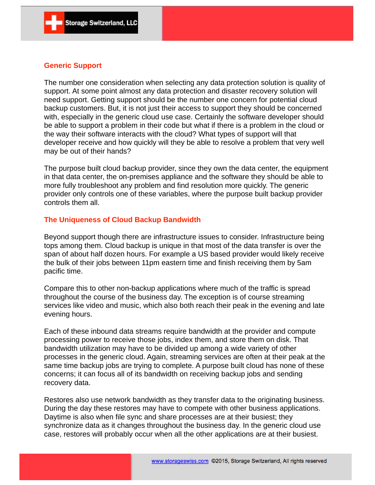#### **Generic Support**

The number one consideration when selecting any data protection solution is quality of support. At some point almost any data protection and disaster recovery solution will need support. Getting support should be the number one concern for potential cloud backup customers. But, it is not just their access to support they should be concerned with, especially in the generic cloud use case. Certainly the software developer should be able to support a problem in their code but what if there is a problem in the cloud or the way their software interacts with the cloud? What types of support will that developer receive and how quickly will they be able to resolve a problem that very well may be out of their hands?

The purpose built cloud backup provider, since they own the data center, the equipment in that data center, the on-premises appliance and the software they should be able to more fully troubleshoot any problem and find resolution more quickly. The generic provider only controls one of these variables, where the purpose built backup provider controls them all.

### **The Uniqueness of Cloud Backup Bandwidth**

Beyond support though there are infrastructure issues to consider. Infrastructure being tops among them. Cloud backup is unique in that most of the data transfer is over the span of about half dozen hours. For example a US based provider would likely receive the bulk of their jobs between 11pm eastern time and finish receiving them by 5am pacific time.

Compare this to other non-backup applications where much of the traffic is spread throughout the course of the business day. The exception is of course streaming services like video and music, which also both reach their peak in the evening and late evening hours.

Each of these inbound data streams require bandwidth at the provider and compute processing power to receive those jobs, index them, and store them on disk. That bandwidth utilization may have to be divided up among a wide variety of other processes in the generic cloud. Again, streaming services are often at their peak at the same time backup jobs are trying to complete. A purpose built cloud has none of these concerns; it can focus all of its bandwidth on receiving backup jobs and sending recovery data.

Restores also use network bandwidth as they transfer data to the originating business. During the day these restores may have to compete with other business applications. Daytime is also when file sync and share processes are at their busiest; they synchronize data as it changes throughout the business day. In the generic cloud use case, restores will probably occur when all the other applications are at their busiest.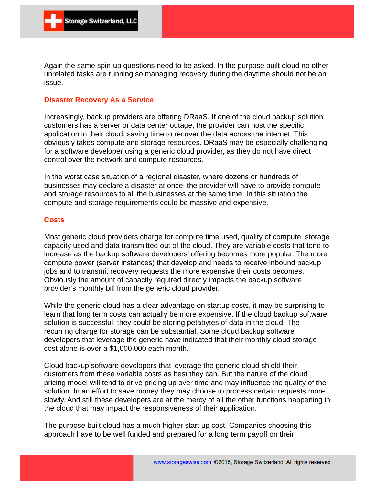Again the same spin-up questions need to be asked. In the purpose built cloud no other unrelated tasks are running so managing recovery during the daytime should not be an issue.

#### **Disaster Recovery As a Service**

Increasingly, backup providers are offering DRaaS. If one of the cloud backup solution customers has a server or data center outage, the provider can host the specific application in their cloud, saving time to recover the data across the internet. This obviously takes compute and storage resources. DRaaS may be especially challenging for a software developer using a generic cloud provider, as they do not have direct control over the network and compute resources.

In the worst case situation of a regional disaster, where dozens or hundreds of businesses may declare a disaster at once; the provider will have to provide compute and storage resources to all the businesses at the same time. In this situation the compute and storage requirements could be massive and expensive.

#### **Costs**

Most generic cloud providers charge for compute time used, quality of compute, storage capacity used and data transmitted out of the cloud. They are variable costs that tend to increase as the backup software developers' offering becomes more popular. The more compute power (server instances) that develop and needs to receive inbound backup jobs and to transmit recovery requests the more expensive their costs becomes. Obviously the amount of capacity required directly impacts the backup software provider's monthly bill from the generic cloud provider.

While the generic cloud has a clear advantage on startup costs, it may be surprising to learn that long term costs can actually be more expensive. If the cloud backup software solution is successful, they could be storing petabytes of data in the cloud. The recurring charge for storage can be substantial. Some cloud backup software developers that leverage the generic have indicated that their monthly cloud storage cost alone is over a \$1,000,000 each month.

Cloud backup software developers that leverage the generic cloud shield their customers from these variable costs as best they can. But the nature of the cloud pricing model will tend to drive pricing up over time and may influence the quality of the solution. In an effort to save money they may choose to process certain requests more slowly. And still these developers are at the mercy of all the other functions happening in the cloud that may impact the responsiveness of their application.

The purpose built cloud has a much higher start up cost. Companies choosing this approach have to be well funded and prepared for a long term payoff on their